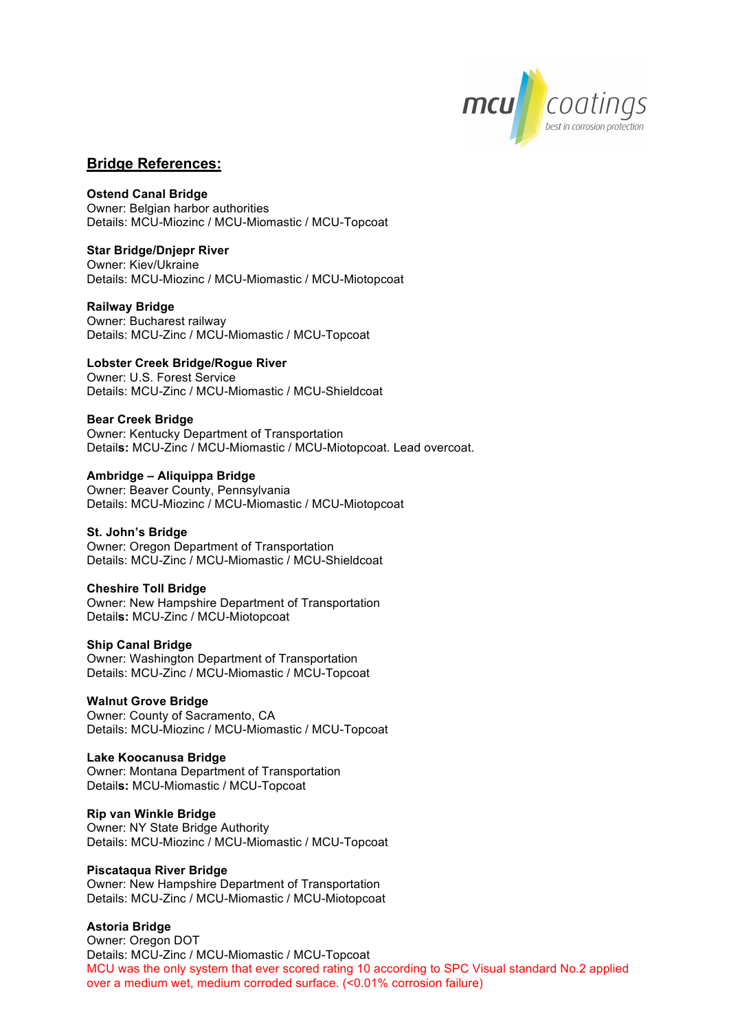

# **Bridge References:**

#### **Ostend Canal Bridge**

Owner: Belgian harbor authorities Details: MCU-Miozinc / MCU-Miomastic / MCU-Topcoat

## **Star Bridge/Dnjepr River**

Owner: Kiev/Ukraine Details: MCU-Miozinc / MCU-Miomastic / MCU-Miotopcoat

#### **Railway Bridge**

Owner: Bucharest railway Details: MCU-Zinc / MCU-Miomastic / MCU-Topcoat

#### **Lobster Creek Bridge/Rogue River**

Owner: U.S. Forest Service Details: MCU-Zinc / MCU-Miomastic / MCU-Shieldcoat

#### **Bear Creek Bridge**

Owner: Kentucky Department of Transportation Detail**s:** MCU-Zinc / MCU-Miomastic / MCU-Miotopcoat. Lead overcoat.

#### **Ambridge – Aliquippa Bridge** Owner: Beaver County, Pennsylvania Details: MCU-Miozinc / MCU-Miomastic / MCU-Miotopcoat

## **St. John's Bridge**

Owner: Oregon Department of Transportation Details: MCU-Zinc / MCU-Miomastic / MCU-Shieldcoat

#### **Cheshire Toll Bridge**

Owner: New Hampshire Department of Transportation Detail**s:** MCU-Zinc / MCU-Miotopcoat

#### **Ship Canal Bridge**

Owner: Washington Department of Transportation Details: MCU-Zinc / MCU-Miomastic / MCU-Topcoat

#### **Walnut Grove Bridge**

Owner: County of Sacramento, CA Details: MCU-Miozinc / MCU-Miomastic / MCU-Topcoat

## **Lake Koocanusa Bridge**

Owner: Montana Department of Transportation Detail**s:** MCU-Miomastic / MCU-Topcoat

#### **Rip van Winkle Bridge**

Owner: NY State Bridge Authority Details: MCU-Miozinc / MCU-Miomastic / MCU-Topcoat

#### **Piscataqua River Bridge**

Owner: New Hampshire Department of Transportation Details: MCU-Zinc / MCU-Miomastic / MCU-Miotopcoat

## **Astoria Bridge**

Owner: Oregon DOT Details: MCU-Zinc / MCU-Miomastic / MCU-Topcoat MCU was the only system that ever scored rating 10 according to SPC Visual standard No.2 applied over a medium wet, medium corroded surface. (<0.01% corrosion failure)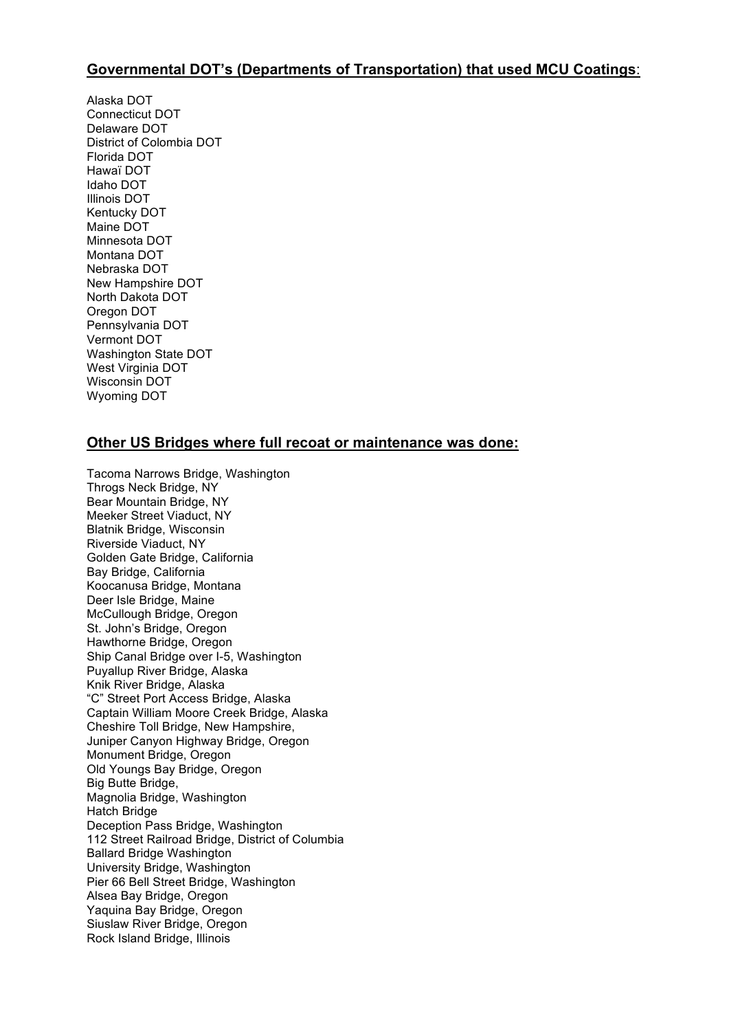# **Governmental DOT's (Departments of Transportation) that used MCU Coatings**:

Alaska DOT Connecticut DOT Delaware DOT District of Colombia DOT Florida DOT Hawaï DOT Idaho DOT Illinois DOT Kentucky DOT Maine DOT Minnesota DOT Montana DOT Nebraska DOT New Hampshire DOT North Dakota DOT Oregon DOT Pennsylvania DOT Vermont DOT Washington State DOT West Virginia DOT Wisconsin DOT Wyoming DOT

# **Other US Bridges where full recoat or maintenance was done:**

Tacoma Narrows Bridge, Washington Throgs Neck Bridge, NY Bear Mountain Bridge, NY Meeker Street Viaduct, NY Blatnik Bridge, Wisconsin Riverside Viaduct, NY Golden Gate Bridge, California Bay Bridge, California Koocanusa Bridge, Montana Deer Isle Bridge, Maine McCullough Bridge, Oregon St. John's Bridge, Oregon Hawthorne Bridge, Oregon Ship Canal Bridge over I-5, Washington Puyallup River Bridge, Alaska Knik River Bridge, Alaska "C" Street Port Access Bridge, Alaska Captain William Moore Creek Bridge, Alaska Cheshire Toll Bridge, New Hampshire, Juniper Canyon Highway Bridge, Oregon Monument Bridge, Oregon Old Youngs Bay Bridge, Oregon Big Butte Bridge, Magnolia Bridge, Washington Hatch Bridge Deception Pass Bridge, Washington 112 Street Railroad Bridge, District of Columbia Ballard Bridge Washington University Bridge, Washington Pier 66 Bell Street Bridge, Washington Alsea Bay Bridge, Oregon Yaquina Bay Bridge, Oregon Siuslaw River Bridge, Oregon Rock Island Bridge, Illinois